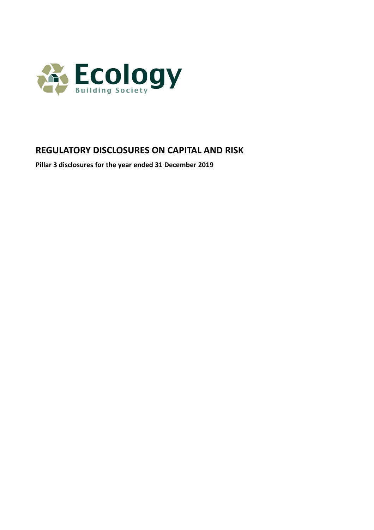

# **REGULATORY DISCLOSURES ON CAPITAL AND RISK**

**Pillar 3 disclosures for the year ended 31 December 2019**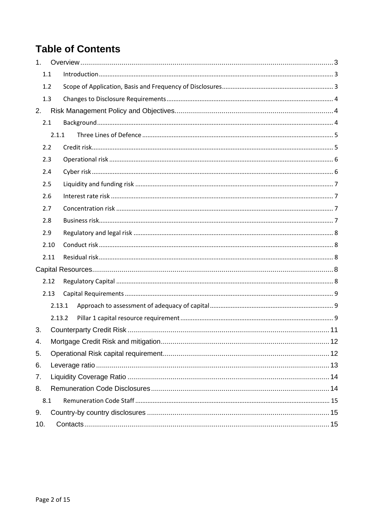# **Table of Contents**

| 1 <sup>1</sup> |        |  |
|----------------|--------|--|
| 1.1            |        |  |
| 1.2            |        |  |
| 1.3            |        |  |
| 2.             |        |  |
| 2.1            |        |  |
|                | 2.1.1  |  |
| 2.2            |        |  |
| 2.3            |        |  |
| 2.4            |        |  |
| 2.5            |        |  |
| 2.6            |        |  |
| 2.7            |        |  |
| 2.8            |        |  |
| 2.9            |        |  |
|                | 2.10   |  |
|                | 2.11   |  |
|                |        |  |
|                | 2.12   |  |
|                | 2.13   |  |
|                | 2.13.1 |  |
|                | 2.13.2 |  |
| 3.             |        |  |
| 4.             |        |  |
| 5.             |        |  |
| 6.             |        |  |
| 7.             |        |  |
| 8.             |        |  |
| 8.1            |        |  |
| 9.             |        |  |
| 10.            |        |  |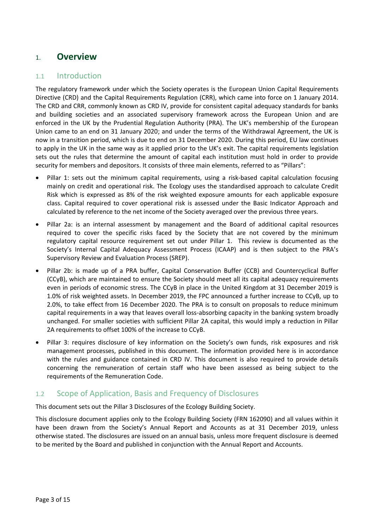# 1. **Overview**

### 1.1 Introduction

The regulatory framework under which the Society operates is the European Union Capital Requirements Directive (CRD) and the Capital Requirements Regulation (CRR), which came into force on 1 January 2014. The CRD and CRR, commonly known as CRD IV, provide for consistent capital adequacy standards for banks and building societies and an associated supervisory framework across the European Union and are enforced in the UK by the Prudential Regulation Authority (PRA). The UK's membership of the European Union came to an end on 31 January 2020; and under the terms of the Withdrawal Agreement, the UK is now in a transition period, which is due to end on 31 December 2020. During this period, EU law continues to apply in the UK in the same way as it applied prior to the UK's exit. The capital requirements legislation sets out the rules that determine the amount of capital each institution must hold in order to provide security for members and depositors. It consists of three main elements, referred to as "Pillars":

- Pillar 1: sets out the minimum capital requirements, using a risk-based capital calculation focusing mainly on credit and operational risk. The Ecology uses the standardised approach to calculate Credit Risk which is expressed as 8% of the risk weighted exposure amounts for each applicable exposure class. Capital required to cover operational risk is assessed under the Basic Indicator Approach and calculated by reference to the net income of the Society averaged over the previous three years.
- Pillar 2a: is an internal assessment by management and the Board of additional capital resources required to cover the specific risks faced by the Society that are not covered by the minimum regulatory capital resource requirement set out under Pillar 1. This review is documented as the Society's Internal Capital Adequacy Assessment Process (ICAAP) and is then subject to the PRA's Supervisory Review and Evaluation Process (SREP).
- Pillar 2b: is made up of a PRA buffer, Capital Conservation Buffer (CCB) and Countercyclical Buffer (CCyB), which are maintained to ensure the Society should meet all its capital adequacy requirements even in periods of economic stress. The CCyB in place in the United Kingdom at 31 December 2019 is 1.0% of risk weighted assets. In December 2019, the FPC announced a further increase to CCyB, up to 2.0%, to take effect from 16 December 2020. The PRA is to consult on proposals to reduce minimum capital requirements in a way that leaves overall loss-absorbing capacity in the banking system broadly unchanged. For smaller societies with sufficient Pillar 2A capital, this would imply a reduction in Pillar 2A requirements to offset 100% of the increase to CCyB.
- Pillar 3: requires disclosure of key information on the Society's own funds, risk exposures and risk management processes, published in this document. The information provided here is in accordance with the rules and guidance contained in CRD IV. This document is also required to provide details concerning the remuneration of certain staff who have been assessed as being subject to the requirements of the Remuneration Code.

### 1.2 Scope of Application, Basis and Frequency of Disclosures

This document sets out the Pillar 3 Disclosures of the Ecology Building Society.

This disclosure document applies only to the Ecology Building Society (FRN 162090) and all values within it have been drawn from the Society's Annual Report and Accounts as at 31 December 2019, unless otherwise stated. The disclosures are issued on an annual basis, unless more frequent disclosure is deemed to be merited by the Board and published in conjunction with the Annual Report and Accounts.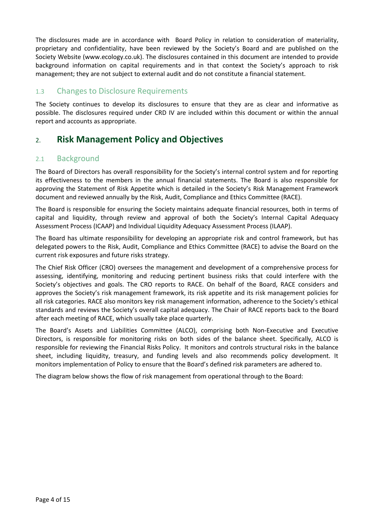The disclosures made are in accordance with Board Policy in relation to consideration of materiality, proprietary and confidentiality, have been reviewed by the Society's Board and are published on the Society Website [\(www.ecology.co.uk\)](http://www.ecology.co.uk/). The disclosures contained in this document are intended to provide background information on capital requirements and in that context the Society's approach to risk management; they are not subject to external audit and do not constitute a financial statement.

### 1.3 Changes to Disclosure Requirements

The Society continues to develop its disclosures to ensure that they are as clear and informative as possible. The disclosures required under CRD IV are included within this document or within the annual report and accounts as appropriate.

# 2. **Risk Management Policy and Objectives**

### 2.1 Background

The Board of Directors has overall responsibility for the Society's internal control system and for reporting its effectiveness to the members in the annual financial statements. The Board is also responsible for approving the Statement of Risk Appetite which is detailed in the Society's Risk Management Framework document and reviewed annually by the Risk, Audit, Compliance and Ethics Committee (RACE).

The Board is responsible for ensuring the Society maintains adequate financial resources, both in terms of capital and liquidity, through review and approval of both the Society's Internal Capital Adequacy Assessment Process (ICAAP) and Individual Liquidity Adequacy Assessment Process (ILAAP).

The Board has ultimate responsibility for developing an appropriate risk and control framework, but has delegated powers to the Risk, Audit, Compliance and Ethics Committee (RACE) to advise the Board on the current risk exposures and future risks strategy.

The Chief Risk Officer (CRO) oversees the management and development of a comprehensive process for assessing, identifying, monitoring and reducing pertinent business risks that could interfere with the Society's objectives and goals. The CRO reports to RACE. On behalf of the Board, RACE considers and approves the Society's risk management framework, its risk appetite and its risk management policies for all risk categories. RACE also monitors key risk management information, adherence to the Society's ethical standards and reviews the Society's overall capital adequacy. The Chair of RACE reports back to the Board after each meeting of RACE, which usually take place quarterly.

The Board's Assets and Liabilities Committee (ALCO), comprising both Non-Executive and Executive Directors, is responsible for monitoring risks on both sides of the balance sheet. Specifically, ALCO is responsible for reviewing the Financial Risks Policy. It monitors and controls structural risks in the balance sheet, including liquidity, treasury, and funding levels and also recommends policy development. It monitors implementation of Policy to ensure that the Board's defined risk parameters are adhered to.

The diagram below shows the flow of risk management from operational through to the Board: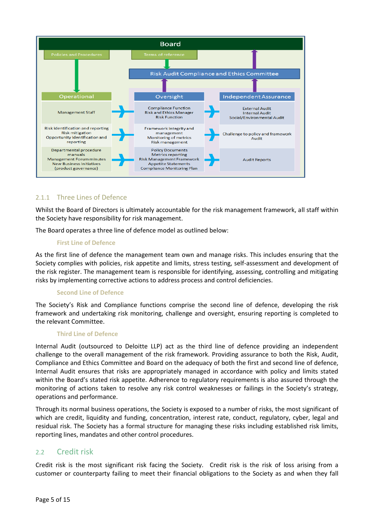

#### 2.1.1 Three Lines of Defence

Whilst the Board of Directors is ultimately accountable for the risk management framework, all staff within the Society have responsibility for risk management.

The Board operates a three line of defence model as outlined below:

#### **First Line of Defence**

As the first line of defence the management team own and manage risks. This includes ensuring that the Society complies with policies, risk appetite and limits, stress testing, self-assessment and development of the risk register. The management team is responsible for identifying, assessing, controlling and mitigating risks by implementing corrective actions to address process and control deficiencies.

#### **Second Line of Defence**

The Society's Risk and Compliance functions comprise the second line of defence, developing the risk framework and undertaking risk monitoring, challenge and oversight, ensuring reporting is completed to the relevant Committee.

#### **Third Line of Defence**

Internal Audit (outsourced to Deloitte LLP) act as the third line of defence providing an independent challenge to the overall management of the risk framework. Providing assurance to both the Risk, Audit, Compliance and Ethics Committee and Board on the adequacy of both the first and second line of defence, Internal Audit ensures that risks are appropriately managed in accordance with policy and limits stated within the Board's stated risk appetite. Adherence to regulatory requirements is also assured through the monitoring of actions taken to resolve any risk control weaknesses or failings in the Society's strategy, operations and performance.

Through its normal business operations, the Society is exposed to a number of risks, the most significant of which are credit, liquidity and funding, concentration, interest rate, conduct, regulatory, cyber, legal and residual risk. The Society has a formal structure for managing these risks including established risk limits, reporting lines, mandates and other control procedures.

#### 2.2 Credit risk

Credit risk is the most significant risk facing the Society. Credit risk is the risk of loss arising from a customer or counterparty failing to meet their financial obligations to the Society as and when they fall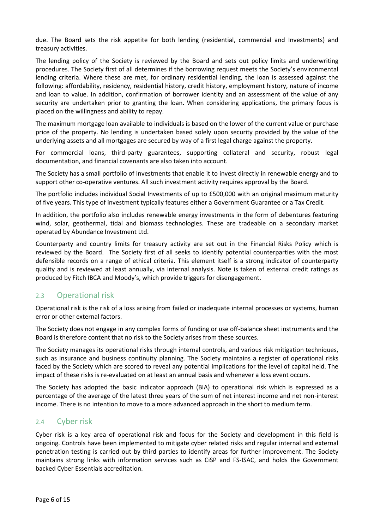due. The Board sets the risk appetite for both lending (residential, commercial and Investments) and treasury activities.

The lending policy of the Society is reviewed by the Board and sets out policy limits and underwriting procedures. The Society first of all determines if the borrowing request meets the Society's environmental lending criteria. Where these are met, for ordinary residential lending, the loan is assessed against the following: affordability, residency, residential history, credit history, employment history, nature of income and loan to value. In addition, confirmation of borrower identity and an assessment of the value of any security are undertaken prior to granting the loan. When considering applications, the primary focus is placed on the willingness and ability to repay.

The maximum mortgage loan available to individuals is based on the lower of the current value or purchase price of the property. No lending is undertaken based solely upon security provided by the value of the underlying assets and all mortgages are secured by way of a first legal charge against the property.

For commercial loans, third-party guarantees, supporting collateral and security, robust legal documentation, and financial covenants are also taken into account.

The Society has a small portfolio of Investments that enable it to invest directly in renewable energy and to support other co-operative ventures. All such investment activity requires approval by the Board.

The portfolio includes individual Social Investments of up to £500,000 with an original maximum maturity of five years. This type of investment typically features either a Government Guarantee or a Tax Credit.

In addition, the portfolio also includes renewable energy investments in the form of debentures featuring wind, solar, geothermal, tidal and biomass technologies. These are tradeable on a secondary market operated by Abundance Investment Ltd.

Counterparty and country limits for treasury activity are set out in the Financial Risks Policy which is reviewed by the Board. The Society first of all seeks to identify potential counterparties with the most defensible records on a range of ethical criteria. This element itself is a strong indicator of counterparty quality and is reviewed at least annually, via internal analysis. Note is taken of external credit ratings as produced by Fitch IBCA and Moody's, which provide triggers for disengagement.

### 2.3 Operational risk

Operational risk is the risk of a loss arising from failed or inadequate internal processes or systems, human error or other external factors.

The Society does not engage in any complex forms of funding or use off-balance sheet instruments and the Board is therefore content that no risk to the Society arises from these sources.

The Society manages its operational risks through internal controls, and various risk mitigation techniques, such as insurance and business continuity planning. The Society maintains a register of operational risks faced by the Society which are scored to reveal any potential implications for the level of capital held. The impact of these risks is re-evaluated on at least an annual basis and whenever a loss event occurs.

The Society has adopted the basic indicator approach (BIA) to operational risk which is expressed as a percentage of the average of the latest three years of the sum of net interest income and net non-interest income. There is no intention to move to a more advanced approach in the short to medium term.

### 2.4 Cyber risk

Cyber risk is a key area of operational risk and focus for the Society and development in this field is ongoing. Controls have been implemented to mitigate cyber related risks and regular internal and external penetration testing is carried out by third parties to identify areas for further improvement. The Society maintains strong links with information services such as CiSP and FS-ISAC, and holds the Government backed Cyber Essentials accreditation.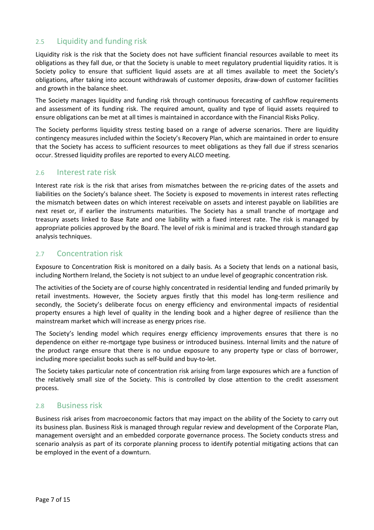### 2.5 Liquidity and funding risk

Liquidity risk is the risk that the Society does not have sufficient financial resources available to meet its obligations as they fall due, or that the Society is unable to meet regulatory prudential liquidity ratios. It is Society policy to ensure that sufficient liquid assets are at all times available to meet the Society's obligations, after taking into account withdrawals of customer deposits, draw-down of customer facilities and growth in the balance sheet.

The Society manages liquidity and funding risk through continuous forecasting of cashflow requirements and assessment of its funding risk. The required amount, quality and type of liquid assets required to ensure obligations can be met at all times is maintained in accordance with the Financial Risks Policy.

The Society performs liquidity stress testing based on a range of adverse scenarios. There are liquidity contingency measures included within the Society's Recovery Plan, which are maintained in order to ensure that the Society has access to sufficient resources to meet obligations as they fall due if stress scenarios occur. Stressed liquidity profiles are reported to every ALCO meeting.

### 2.6 Interest rate risk

Interest rate risk is the risk that arises from mismatches between the re-pricing dates of the assets and liabilities on the Society's balance sheet. The Society is exposed to movements in interest rates reflecting the mismatch between dates on which interest receivable on assets and interest payable on liabilities are next reset or, if earlier the instruments maturities. The Society has a small tranche of mortgage and treasury assets linked to Base Rate and one liability with a fixed interest rate. The risk is managed by appropriate policies approved by the Board. The level of risk is minimal and is tracked through standard gap analysis techniques.

#### 2.7 Concentration risk

Exposure to Concentration Risk is monitored on a daily basis. As a Society that lends on a national basis, including Northern Ireland, the Society is not subject to an undue level of geographic concentration risk.

The activities of the Society are of course highly concentrated in residential lending and funded primarily by retail investments. However, the Society argues firstly that this model has long-term resilience and secondly, the Society's deliberate focus on energy efficiency and environmental impacts of residential property ensures a high level of quality in the lending book and a higher degree of resilience than the mainstream market which will increase as energy prices rise.

The Society's lending model which requires energy efficiency improvements ensures that there is no dependence on either re-mortgage type business or introduced business. Internal limits and the nature of the product range ensure that there is no undue exposure to any property type or class of borrower, including more specialist books such as self-build and buy-to-let.

The Society takes particular note of concentration risk arising from large exposures which are a function of the relatively small size of the Society. This is controlled by close attention to the credit assessment process.

#### 2.8 Business risk

Business risk arises from macroeconomic factors that may impact on the ability of the Society to carry out its business plan. Business Risk is managed through regular review and development of the Corporate Plan, management oversight and an embedded corporate governance process. The Society conducts stress and scenario analysis as part of its corporate planning process to identify potential mitigating actions that can be employed in the event of a downturn.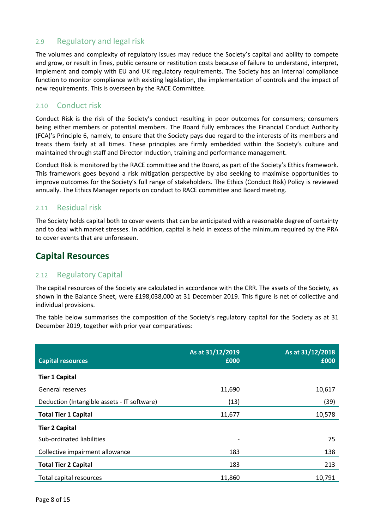### 2.9 Regulatory and legal risk

The volumes and complexity of regulatory issues may reduce the Society's capital and ability to compete and grow, or result in fines, public censure or restitution costs because of failure to understand, interpret, implement and comply with EU and UK regulatory requirements. The Society has an internal compliance function to monitor compliance with existing legislation, the implementation of controls and the impact of new requirements. This is overseen by the RACE Committee.

### 2.10 Conduct risk

Conduct Risk is the risk of the Society's conduct resulting in poor outcomes for consumers; consumers being either members or potential members. The Board fully embraces the Financial Conduct Authority (FCA)'s Principle 6, namely, to ensure that the Society pays due regard to the interests of its members and treats them fairly at all times. These principles are firmly embedded within the Society's culture and maintained through staff and Director Induction, training and performance management.

Conduct Risk is monitored by the RACE committee and the Board, as part of the Society's Ethics framework. This framework goes beyond a risk mitigation perspective by also seeking to maximise opportunities to improve outcomes for the Society's full range of stakeholders. The Ethics (Conduct Risk) Policy is reviewed annually. The Ethics Manager reports on conduct to RACE committee and Board meeting.

### 2.11 Residual risk

The Society holds capital both to cover events that can be anticipated with a reasonable degree of certainty and to deal with market stresses. In addition, capital is held in excess of the minimum required by the PRA to cover events that are unforeseen.

# **Capital Resources**

### 2.12 Regulatory Capital

The capital resources of the Society are calculated in accordance with the CRR. The assets of the Society, as shown in the Balance Sheet, were £198,038,000 at 31 December 2019. This figure is net of collective and individual provisions.

The table below summarises the composition of the Society's regulatory capital for the Society as at 31 December 2019, together with prior year comparatives:

| <b>Capital resources</b>                    | As at 31/12/2019<br>£000 | As at 31/12/2018<br>£000 |
|---------------------------------------------|--------------------------|--------------------------|
|                                             |                          |                          |
| <b>Tier 1 Capital</b>                       |                          |                          |
| General reserves                            | 11,690                   | 10,617                   |
| Deduction (Intangible assets - IT software) | (13)                     | (39)                     |
| <b>Total Tier 1 Capital</b>                 | 11,677                   | 10,578                   |
| <b>Tier 2 Capital</b>                       |                          |                          |
| Sub-ordinated liabilities                   |                          | 75                       |
| Collective impairment allowance             | 183                      | 138                      |
| <b>Total Tier 2 Capital</b>                 | 183                      | 213                      |
| Total capital resources                     | 11,860                   | 10,791                   |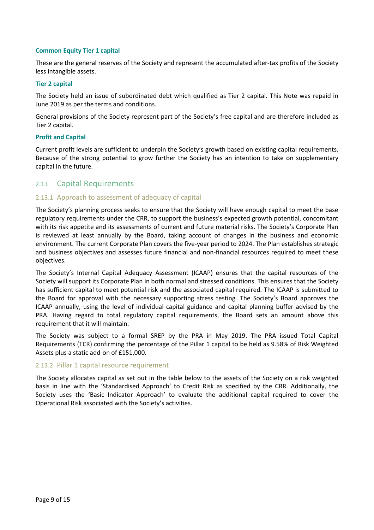#### **Common Equity Tier 1 capital**

These are the general reserves of the Society and represent the accumulated after-tax profits of the Society less intangible assets.

#### **Tier 2 capital**

The Society held an issue of subordinated debt which qualified as Tier 2 capital. This Note was repaid in June 2019 as per the terms and conditions.

General provisions of the Society represent part of the Society's free capital and are therefore included as Tier 2 capital.

#### **Profit and Capital**

Current profit levels are sufficient to underpin the Society's growth based on existing capital requirements. Because of the strong potential to grow further the Society has an intention to take on supplementary capital in the future.

#### 2.13 Capital Requirements

#### 2.13.1 Approach to assessment of adequacy of capital

The Society's planning process seeks to ensure that the Society will have enough capital to meet the base regulatory requirements under the CRR, to support the business's expected growth potential, concomitant with its risk appetite and its assessments of current and future material risks. The Society's Corporate Plan is reviewed at least annually by the Board, taking account of changes in the business and economic environment. The current Corporate Plan covers the five-year period to 2024. The Plan establishes strategic and business objectives and assesses future financial and non-financial resources required to meet these objectives.

The Society's Internal Capital Adequacy Assessment (ICAAP) ensures that the capital resources of the Society will support its Corporate Plan in both normal and stressed conditions. This ensures that the Society has sufficient capital to meet potential risk and the associated capital required. The ICAAP is submitted to the Board for approval with the necessary supporting stress testing. The Society's Board approves the ICAAP annually, using the level of individual capital guidance and capital planning buffer advised by the PRA. Having regard to total regulatory capital requirements, the Board sets an amount above this requirement that it will maintain.

The Society was subject to a formal SREP by the PRA in May 2019. The PRA issued Total Capital Requirements (TCR) confirming the percentage of the Pillar 1 capital to be held as 9.58% of Risk Weighted Assets plus a static add-on of £151,000.

#### 2.13.2 Pillar 1 capital resource requirement

The Society allocates capital as set out in the table below to the assets of the Society on a risk weighted basis in line with the 'Standardised Approach' to Credit Risk as specified by the CRR. Additionally, the Society uses the 'Basic Indicator Approach' to evaluate the additional capital required to cover the Operational Risk associated with the Society's activities.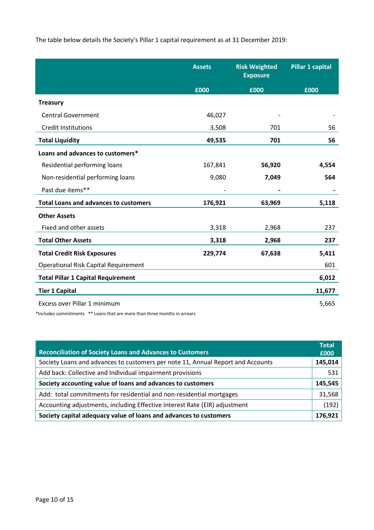The table below details the Society's Pillar 1 capital requirement as at 31 December 2019:

|                                              | <b>Assets</b> | <b>Risk Weighted</b><br><b>Exposure</b> | <b>Pillar 1 capital</b> |
|----------------------------------------------|---------------|-----------------------------------------|-------------------------|
|                                              | £000          | £000                                    | £000                    |
| <b>Treasury</b>                              |               |                                         |                         |
| <b>Central Government</b>                    | 46,027        |                                         |                         |
| <b>Credit Institutions</b>                   | 3,508         | 701                                     | 56                      |
| <b>Total Liquidity</b>                       | 49,535        | 701                                     | 56                      |
| Loans and advances to customers*             |               |                                         |                         |
| Residential performing loans                 | 167,841       | 56,920                                  | 4,554                   |
| Non-residential performing loans             | 9,080         | 7,049                                   | 564                     |
| Past due items**                             |               |                                         |                         |
| <b>Total Loans and advances to customers</b> | 176,921       | 63,969                                  | 5,118                   |
| <b>Other Assets</b>                          |               |                                         |                         |
| Fixed and other assets                       | 3,318         | 2,968                                   | 237                     |
| <b>Total Other Assets</b>                    | 3,318         | 2,968                                   | 237                     |
| <b>Total Credit Risk Exposures</b>           | 229,774       | 67,638                                  | 5,411                   |
| <b>Operational Risk Capital Requirement</b>  |               |                                         | 601                     |
| <b>Total Pillar 1 Capital Requirement</b>    |               |                                         | 6,012                   |
| <b>Tier 1 Capital</b>                        |               |                                         | 11,677                  |
| Excess over Pillar 1 minimum                 |               |                                         | 5,665                   |

\*Includes commitments \*\* Loans that are more than three months in arrears

| <b>Reconciliation of Society Loans and Advances to Customers</b>                | <b>Total</b><br>£000 |
|---------------------------------------------------------------------------------|----------------------|
| Society Loans and advances to customers per note 11, Annual Report and Accounts | 145,014              |
| Add back: Collective and Individual impairment provisions                       | 531                  |
| Society accounting value of loans and advances to customers                     | 145,545              |
| Add: total commitments for residential and non-residential mortgages            | 31,568               |
| Accounting adjustments, including Effective Interest Rate (EIR) adjustment      | (192)                |
| Society capital adequacy value of loans and advances to customers               | 176,921              |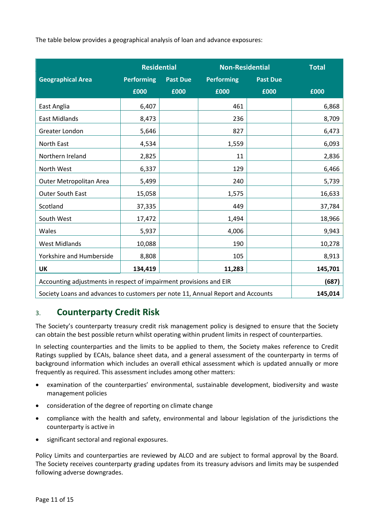The table below provides a geographical analysis of loan and advance exposures:

|                                                                                            | <b>Residential</b> |                 | <b>Non-Residential</b> |                 | <b>Total</b> |
|--------------------------------------------------------------------------------------------|--------------------|-----------------|------------------------|-----------------|--------------|
| <b>Geographical Area</b>                                                                   | <b>Performing</b>  | <b>Past Due</b> | <b>Performing</b>      | <b>Past Due</b> |              |
|                                                                                            | £000               | £000            | £000                   | £000            | £000         |
| East Anglia                                                                                | 6,407              |                 | 461                    |                 | 6,868        |
| <b>East Midlands</b>                                                                       | 8,473              |                 | 236                    |                 | 8,709        |
| Greater London                                                                             | 5,646              |                 | 827                    |                 | 6,473        |
| North East                                                                                 | 4,534              |                 | 1,559                  |                 | 6,093        |
| Northern Ireland                                                                           | 2,825              |                 | 11                     |                 | 2,836        |
| North West                                                                                 | 6,337              |                 | 129                    |                 | 6,466        |
| Outer Metropolitan Area                                                                    | 5,499              |                 | 240                    |                 | 5,739        |
| Outer South East                                                                           | 15,058             |                 | 1,575                  |                 | 16,633       |
| Scotland                                                                                   | 37,335             |                 | 449                    |                 | 37,784       |
| South West                                                                                 | 17,472             |                 | 1,494                  |                 | 18,966       |
| Wales                                                                                      | 5,937              |                 | 4,006                  |                 | 9,943        |
| <b>West Midlands</b>                                                                       | 10,088             |                 | 190                    |                 | 10,278       |
| Yorkshire and Humberside                                                                   | 8,808              |                 | 105                    |                 | 8,913        |
| <b>UK</b>                                                                                  | 134,419            |                 | 11,283                 |                 | 145,701      |
| Accounting adjustments in respect of impairment provisions and EIR                         |                    |                 |                        |                 | (687)        |
| 145,014<br>Society Loans and advances to customers per note 11, Annual Report and Accounts |                    |                 |                        |                 |              |

## 3. **Counterparty Credit Risk**

The Society's counterparty treasury credit risk management policy is designed to ensure that the Society can obtain the best possible return whilst operating within prudent limits in respect of counterparties.

In selecting counterparties and the limits to be applied to them, the Society makes reference to Credit Ratings supplied by ECAIs, balance sheet data, and a general assessment of the counterparty in terms of background information which includes an overall ethical assessment which is updated annually or more frequently as required. This assessment includes among other matters:

- examination of the counterparties' environmental, sustainable development, biodiversity and waste management policies
- consideration of the degree of reporting on climate change
- compliance with the health and safety, environmental and labour legislation of the jurisdictions the counterparty is active in
- significant sectoral and regional exposures.

Policy Limits and counterparties are reviewed by ALCO and are subject to formal approval by the Board. The Society receives counterparty grading updates from its treasury advisors and limits may be suspended following adverse downgrades.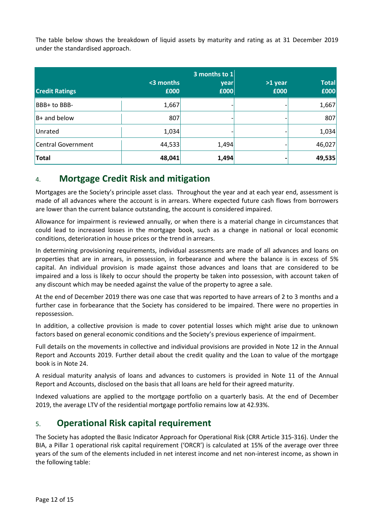The table below shows the breakdown of liquid assets by maturity and rating as at 31 December 2019 under the standardised approach.

| <b>Credit Ratings</b> | <3 months<br>£000 | 3 months to 1<br>year<br>£000 | >1 year<br>£000 | <b>Total</b><br>£000 |
|-----------------------|-------------------|-------------------------------|-----------------|----------------------|
| BBB+ to BBB-          | 1,667             |                               |                 | 1,667                |
| $B+$ and below        | 807               |                               |                 | 807                  |
| Unrated               | 1,034             |                               |                 | 1,034                |
| Central Government    | 44,533            | 1,494                         |                 | 46,027               |
| <b>Total</b>          | 48,041            | 1,494                         |                 | 49,535               |

# 4. **Mortgage Credit Risk and mitigation**

Mortgages are the Society's principle asset class. Throughout the year and at each year end, assessment is made of all advances where the account is in arrears. Where expected future cash flows from borrowers are lower than the current balance outstanding, the account is considered impaired.

Allowance for impairment is reviewed annually, or when there is a material change in circumstances that could lead to increased losses in the mortgage book, such as a change in national or local economic conditions, deterioration in house prices or the trend in arrears.

In determining provisioning requirements, individual assessments are made of all advances and loans on properties that are in arrears, in possession, in forbearance and where the balance is in excess of 5% capital. An individual provision is made against those advances and loans that are considered to be impaired and a loss is likely to occur should the property be taken into possession, with account taken of any discount which may be needed against the value of the property to agree a sale.

At the end of December 2019 there was one case that was reported to have arrears of 2 to 3 months and a further case in forbearance that the Society has considered to be impaired. There were no properties in repossession.

In addition, a collective provision is made to cover potential losses which might arise due to unknown factors based on general economic conditions and the Society's previous experience of impairment.

Full details on the movements in collective and individual provisions are provided in Note 12 in the Annual Report and Accounts 2019. Further detail about the credit quality and the Loan to value of the mortgage book is in Note 24.

A residual maturity analysis of loans and advances to customers is provided in Note 11 of the Annual Report and Accounts, disclosed on the basis that all loans are held for their agreed maturity.

Indexed valuations are applied to the mortgage portfolio on a quarterly basis. At the end of December 2019, the average LTV of the residential mortgage portfolio remains low at 42.93%.

# 5. **Operational Risk capital requirement**

The Society has adopted the Basic Indicator Approach for Operational Risk (CRR Article 315-316). Under the BIA, a Pillar 1 operational risk capital requirement ('ORCR') is calculated at 15% of the average over three years of the sum of the elements included in net interest income and net non-interest income, as shown in the following table: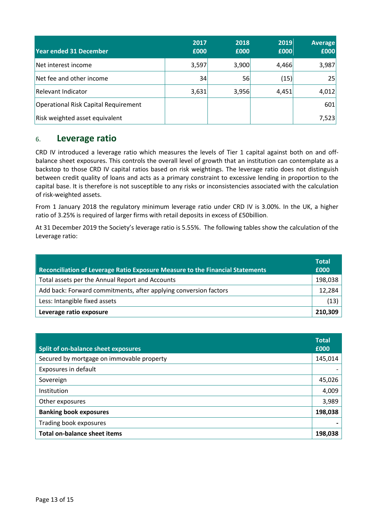| <b>Year ended 31 December</b>        | 2017<br>£000 | 2018<br>£000 | 2019<br>£000 | <b>Average</b><br>£000 |
|--------------------------------------|--------------|--------------|--------------|------------------------|
| Net interest income                  | 3,597        | 3,900        | 4,466        | 3,987                  |
| Net fee and other income             | 34           | 56           | (15)         | 25                     |
| Relevant Indicator                   | 3,631        | 3,956        | 4,451        | 4,012                  |
| Operational Risk Capital Requirement |              |              |              | 601                    |
| Risk weighted asset equivalent       |              |              |              | 7,523                  |

### 6. **Leverage ratio**

CRD IV introduced a leverage ratio which measures the levels of Tier 1 capital against both on and offbalance sheet exposures. This controls the overall level of growth that an institution can contemplate as a backstop to those CRD IV capital ratios based on risk weightings. The leverage ratio does not distinguish between credit quality of loans and acts as a primary constraint to excessive lending in proportion to the capital base. It is therefore is not susceptible to any risks or inconsistencies associated with the calculation of risk-weighted assets.

From 1 January 2018 the regulatory minimum leverage ratio under CRD IV is 3.00%. In the UK, a higher ratio of 3.25% is required of larger firms with retail deposits in excess of £50billion.

At 31 December 2019 the Society's leverage ratio is 5.55%. The following tables show the calculation of the Leverage ratio:

| <b>Reconciliation of Leverage Ratio Exposure Measure to the Financial Statements</b> | <b>Total</b><br>£000 |
|--------------------------------------------------------------------------------------|----------------------|
| Total assets per the Annual Report and Accounts                                      | 198,038              |
| Add back: Forward commitments, after applying conversion factors                     | 12,284               |
| Less: Intangible fixed assets                                                        | (13)                 |
| Leverage ratio exposure                                                              | 210,309              |

| Split of on-balance sheet exposures       | <b>Total</b><br>£000 |
|-------------------------------------------|----------------------|
| Secured by mortgage on immovable property | 145,014              |
| Exposures in default                      |                      |
| Sovereign                                 | 45,026               |
| Institution                               | 4,009                |
| Other exposures                           | 3,989                |
| <b>Banking book exposures</b>             | 198,038              |
| Trading book exposures                    |                      |
| <b>Total on-balance sheet items</b>       | 198,038              |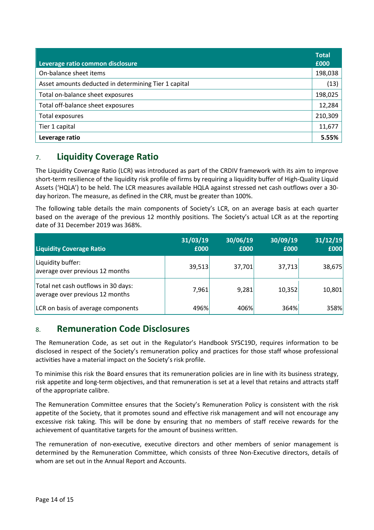| Leverage ratio common disclosure                     | <b>Total</b><br>£000 |
|------------------------------------------------------|----------------------|
| On-balance sheet items                               | 198,038              |
| Asset amounts deducted in determining Tier 1 capital | (13)                 |
| Total on-balance sheet exposures                     | 198,025              |
| Total off-balance sheet exposures                    | 12,284               |
| Total exposures                                      | 210,309              |
| Tier 1 capital                                       | 11,677               |
| Leverage ratio                                       | 5.55%                |

# 7. **Liquidity Coverage Ratio**

The Liquidity Coverage Ratio (LCR) was introduced as part of the CRDIV framework with its aim to improve short-term resilience of the liquidity risk profile of firms by requiring a liquidity buffer of High-Quality Liquid Assets ('HQLA') to be held. The LCR measures available HQLA against stressed net cash outflows over a 30 day horizon. The measure, as defined in the CRR, must be greater than 100%.

The following table details the main components of Society's LCR, on an average basis at each quarter based on the average of the previous 12 monthly positions. The Society's actual LCR as at the reporting date of 31 December 2019 was 368%.

| <b>Liquidity Coverage Ratio</b>                                        | 31/03/19<br>£000 | 30/06/19<br>£000 | 30/09/19<br>£000 | 31/12/19<br>£000 |
|------------------------------------------------------------------------|------------------|------------------|------------------|------------------|
| Liquidity buffer:<br>average over previous 12 months                   | 39,513           | 37,701           | 37,713           | 38,675           |
| Total net cash outflows in 30 days:<br>average over previous 12 months | 7,961            | 9,281            | 10,352           | 10,801           |
| LCR on basis of average components                                     | 496%             | 406%             | 364%             | 358%             |

## 8. **Remuneration Code Disclosures**

The Remuneration Code, as set out in the Regulator's Handbook SYSC19D, requires information to be disclosed in respect of the Society's remuneration policy and practices for those staff whose professional activities have a material impact on the Society's risk profile.

To minimise this risk the Board ensures that its remuneration policies are in line with its business strategy, risk appetite and long-term objectives, and that remuneration is set at a level that retains and attracts staff of the appropriate calibre.

The Remuneration Committee ensures that the Society's Remuneration Policy is consistent with the risk appetite of the Society, that it promotes sound and effective risk management and will not encourage any excessive risk taking. This will be done by ensuring that no members of staff receive rewards for the achievement of quantitative targets for the amount of business written.

The remuneration of non-executive, executive directors and other members of senior management is determined by the Remuneration Committee, which consists of three Non-Executive directors, details of whom are set out in the Annual Report and Accounts.